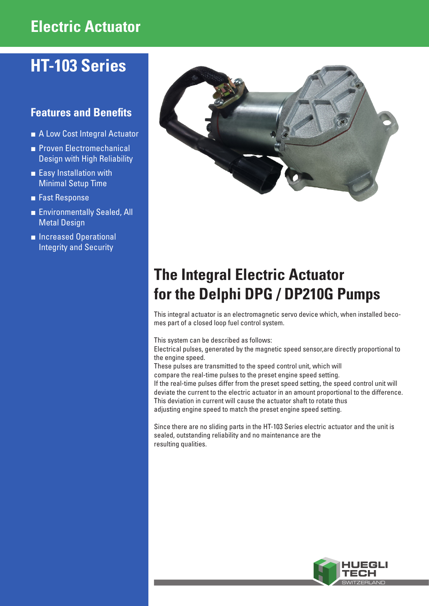# **Electric Actuator**

# **HT-103 Series**

# **Features and Benefits**

- A Low Cost Integral Actuator
- **■** Proven Electromechanical Design with High Reliability
- Easy Installation with Minimal Setup Time
- **■** Fast Response
- **■** Environmentally Sealed, All Metal Design
- **■** Increased Operational Integrity and Security



# **The Integral Electric Actuator for the Delphi DPG / DP210G Pumps**

This integral actuator is an electromagnetic servo device which, when installed becomes part of a closed loop fuel control system.

This system can be described as follows:

Electrical pulses, generated by the magnetic speed sensor,are directly proportional to the engine speed.

These pulses are transmitted to the speed control unit, which will compare the real-time pulses to the preset engine speed setting. If the real-time pulses differ from the preset speed setting, the speed control unit will deviate the current to the electric actuator in an amount proportional to the difference. This deviation in current will cause the actuator shaft to rotate thus adjusting engine speed to match the preset engine speed setting.

Since there are no sliding parts in the HT-103 Series electric actuator and the unit is sealed, outstanding reliability and no maintenance are the resulting qualities.

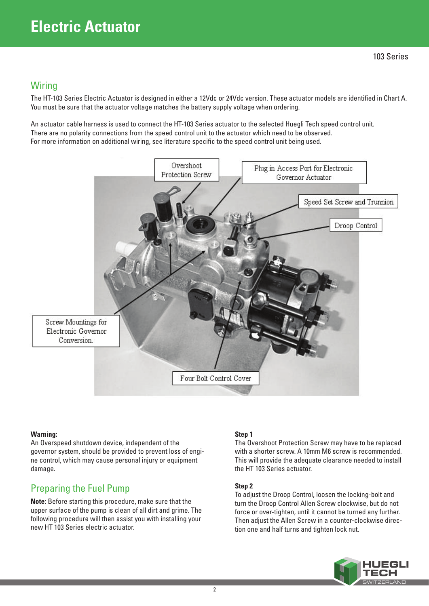# **Wiring**

The HT-103 Series Electric Actuator is designed in either a 12Vdc or 24Vdc version. These actuator models are identified in Chart A. You must be sure that the actuator voltage matches the battery supply voltage when ordering.

An actuator cable harness is used to connect the HT-103 Series actuator to the selected Huegli Tech speed control unit. There are no polarity connections from the speed control unit to the actuator which need to be observed. For more information on additional wiring, see literature specific to the speed control unit being used.



## **Warning:**

An Overspeed shutdown device, independent of the governor system, should be provided to prevent loss of engine control, which may cause personal injury or equipment damage.

# Preparing the Fuel Pump

**Note**: Before starting this procedure, make sure that the upper surface of the pump is clean of all dirt and grime. The following procedure will then assist you with installing your new HT 103 Series electric actuator.

## **Step 1**

The Overshoot Protection Screw may have to be replaced with a shorter screw. A 10mm M6 screw is recommended. This will provide the adequate clearance needed to install the HT 103 Series actuator.

## **Step 2**

To adjust the Droop Control, loosen the locking-bolt and turn the Droop Control Allen Screw clockwise, but do not force or over-tighten, until it cannot be turned any further. Then adjust the Allen Screw in a counter-clockwise direction one and half turns and tighten lock nut.

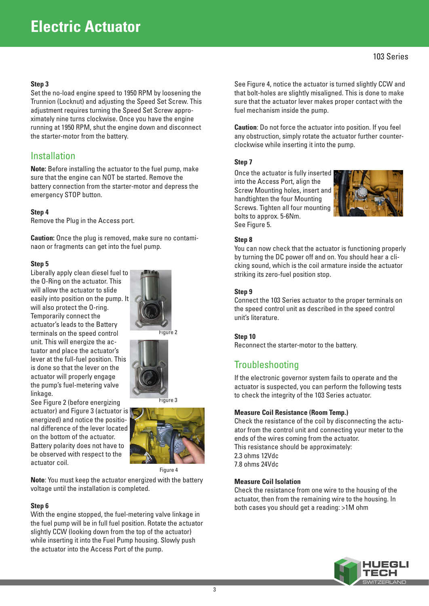#### **Step 3**

Set the no-load engine speed to 1950 RPM by loosening the Trunnion (Locknut) and adjusting the Speed Set Screw. This adjustment requires turning the Speed Set Screw approximately nine turns clockwise. Once you have the engine running at 1950 RPM, shut the engine down and disconnect the starter-motor from the battery.

## Installation

**Note:** Before installing the actuator to the fuel pump, make sure that the engine can NOT be started. Remove the battery connection from the starter-motor and depress the emergency STOP button.

#### **Step 4**

Remove the Plug in the Access port.

**Caution:** Once the plug is removed, make sure no contaminaon or fragments can get into the fuel pump.

#### **Step 5**

Liberally apply clean diesel fuel to the O-Ring on the actuator. This will allow the actuator to slide easily into position on the pump. It will also protect the O-ring. Temporarily connect the actuator's leads to the Battery terminals on the speed control unit. This will energize the actuator and place the actuator's lever at the full-fuel position. This is done so that the lever on the actuator will properly engage the pump's fuel-metering valve linkage.

See Figure 2 (before energizing

on the bottom of the actuator.







Figure 4

**Note**: You must keep the actuator energized with the battery voltage until the installation is completed.

#### **Step 6**

actuator coil.

With the engine stopped, the fuel-metering valve linkage in the fuel pump will be in full fuel position. Rotate the actuator slightly CCW (looking down from the top of the actuator) while inserting it into the Fuel Pump housing. Slowly push the actuator into the Access Port of the pump.

See Figure 4, notice the actuator is turned slightly CCW and that bolt-holes are slightly misaligned. This is done to make sure that the actuator lever makes proper contact with the fuel mechanism inside the pump.

**Caution**: Do not force the actuator into position. If you feel any obstruction, simply rotate the actuator further counterclockwise while inserting it into the pump.

#### **Step 7**

Once the actuator is fully inserted into the Access Port, align the Screw Mounting holes, insert and handtighten the four Mounting Screws. Tighten all four mounting bolts to approx. 5-6Nm. See Figure 5.



#### **Step 8**

You can now check that the actuator is functioning properly by turning the DC power off and on. You should hear a clicking sound, which is the coil armature inside the actuator striking its zero-fuel position stop.

#### **Step 9**

Connect the 103 Series actuator to the proper terminals on the speed control unit as described in the speed control unit's literature.

#### **Step 10**

Reconnect the starter-motor to the battery.

## **Troubleshooting**

If the electronic governor system fails to operate and the actuator is suspected, you can perform the following tests to check the integrity of the 103 Series actuator.

#### **Measure Coil Resistance (Room Temp.)**

Check the resistance of the coil by disconnecting the actuator from the control unit and connecting your meter to the ends of the wires coming from the actuator. This resistance should be approximately: 2.3 ohms 12Vdc 7.8 ohms 24Vdc

#### **Measure Coil Isolation**

Check the resistance from one wire to the housing of the actuator, then from the remaining wire to the housing. In both cases you should get a reading: >1M ohm